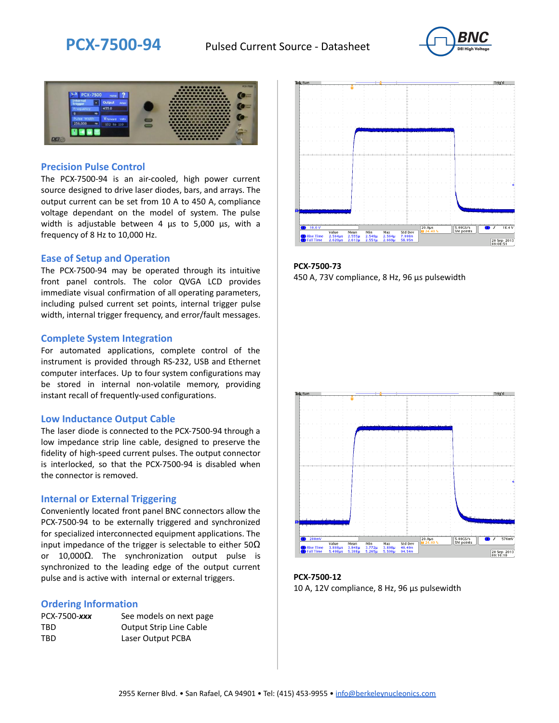



### **Precision Pulse Control**

The PCX-7500-94 is an air-cooled, high power current source designed to drive laser diodes, bars, and arrays. The output current can be set from 10 A to 450 A, compliance voltage dependant on the model of system. The pulse width is adjustable between 4 µs to 5,000 µs, with a frequency of 8 Hz to 10,000 Hz.

#### **Ease of Setup and Operation**

The PCX-7500-94 may be operated through its intuitive front panel controls. The color QVGA LCD provides immediate visual confirmation of all operating parameters, including pulsed current set points, internal trigger pulse width, internal trigger frequency, and error/fault messages.

#### **Complete System Integration**

For automated applications, complete control of the instrument is provided through RS-232, USB and Ethernet computer interfaces. Up to four system configurations may be stored in internal non-volatile memory, providing instant recall of frequently-used configurations.

#### **Low Inductance Output Cable**

The laser diode is connected to the PCX-7500-94 through a low impedance strip line cable, designed to preserve the fidelity of high-speed current pulses. The output connector is interlocked, so that the PCX-7500-94 is disabled when the connector is removed.

#### **Internal or External Triggering**

Conveniently located front panel BNC connectors allow the PCX-7500-94 to be externally triggered and synchronized for specialized interconnected equipment applications. The input impedance of the trigger is selectable to either  $50\Omega$ or 10,000Ω. The synchronization output pulse is synchronized to the leading edge of the output current pulse and is active with internal or external triggers.

#### **Ordering Information**

| PCX-7500-xxx | See models on next page        |
|--------------|--------------------------------|
| TBD          | <b>Output Strip Line Cable</b> |
| TBD          | Laser Output PCBA              |



**PCX-7500-73** 450 A, 73V compliance, 8 Hz, 96 µs pulsewidth



**PCX-7500-12** 10 A, 12V compliance, 8 Hz, 96 μs pulsewidth